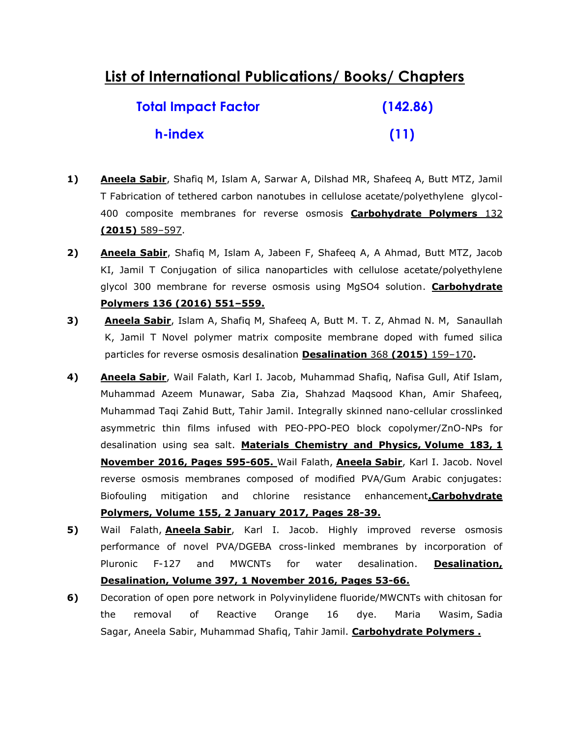## **List of International Publications/ Books/ Chapters**

| <b>Total Impact Factor</b> | (142.86) |
|----------------------------|----------|
| h-index                    | (11)     |

- **1) Aneela Sabir**, Shafiq M, Islam A, Sarwar A, Dilshad MR, Shafeeq A, Butt MTZ, Jamil T Fabrication of tethered carbon nanotubes in cellulose acetate/polyethylene glycol-400 composite membranes for reverse osmosis **Carbohydrate Polymers** 132 **(2015)** 589–597.
- **2) Aneela Sabir**, Shafiq M, Islam A, Jabeen F, Shafeeq A, A Ahmad, Butt MTZ, Jacob KI, Jamil T Conjugation of silica nanoparticles with cellulose acetate/polyethylene glycol 300 membrane for reverse osmosis using MgSO4 solution. **Carbohydrate Polymers 136 (2016) 551–559.**
- **3) Aneela Sabir**, Islam A, Shafiq M, Shafeeq A, Butt M. T. Z, Ahmad N. M, Sanaullah K, Jamil T Novel polymer matrix composite membrane doped with fumed silica particles for reverse osmosis desalination **Desalination** 368 **(2015)** 159–170**.**
- **4) Aneela Sabir**, Wail Falath, Karl I. Jacob, Muhammad Shafiq, Nafisa Gull, Atif Islam, Muhammad Azeem Munawar, Saba Zia, Shahzad Maqsood Khan, Amir Shafeeq, Muhammad Taqi Zahid Butt, Tahir Jamil. [Integrally skinned nano-cellular crosslinked](http://www.sciencedirect.com/science/article/pii/S0254058416306848)  [asymmetric thin films infused with PEO-PPO-PEO block copolymer/ZnO-NPs for](http://www.sciencedirect.com/science/article/pii/S0254058416306848)  [desalination using sea salt.](http://www.sciencedirect.com/science/article/pii/S0254058416306848) **Materials Chemistry and Physics, Volume 183, 1 November 2016, Pages 595-605.** Wail Falath, **Aneela Sabir**, Karl I. Jacob. [Novel](http://www.sciencedirect.com/science/article/pii/S0144861716310001)  [reverse osmosis membranes composed of modified PVA/Gum Arabic conjugates:](http://www.sciencedirect.com/science/article/pii/S0144861716310001)  [Biofouling mitigation and chlorine resistance enhancement](http://www.sciencedirect.com/science/article/pii/S0144861716310001)**.Carbohydrate Polymers, Volume 155, 2 January 2017, Pages 28-39.**
- **5)** Wail Falath, **Aneela Sabir**, Karl I. Jacob. Highly improved reverse osmosis performance of novel PVA/DGEBA cross-linked membranes by incorporation of Pluronic F-127 and MWCNTs for water desalination. **Desalination, Desalination, Volume 397, 1 November 2016, Pages 53-66.**
- **6)** Decoration of open pore network in Polyvinylidene fluoride/MWCNTs with chitosan for the removal of Reactive Orange 16 dye. Maria Wasim, Sadia Sagar, Aneela Sabir, Muhammad Shafiq, Tahir Jamil. **Carbohydrate Polymers .**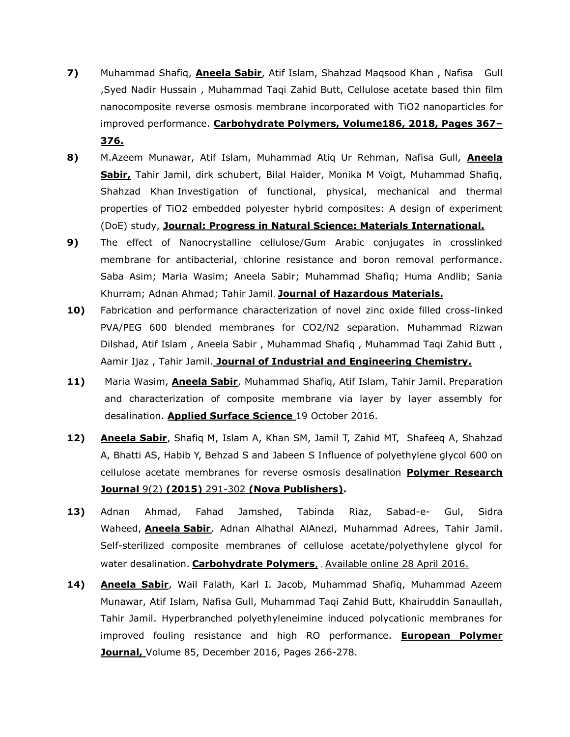- **7)** Muhammad Shafiq, **Aneela Sabir**, Atif Islam, Shahzad Maqsood Khan , Nafisa Gull ,Syed Nadir Hussain , Muhammad Taqi Zahid Butt, Cellulose acetate based thin film nanocomposite reverse osmosis membrane incorporated with TiO2 nanoparticles for improved performance. **Carbohydrate Polymers, Volume186, 2018, Pages 367– 376.**
- **8)** M.Azeem Munawar, Atif Islam, Muhammad Atiq Ur Rehman, Nafisa Gull, **Aneela Sabir,** Tahir Jamil, dirk schubert, Bilal Haider, Monika M Voigt, Muhammad Shafiq, Shahzad Khan Investigation of functional, physical, mechanical and thermal properties of TiO2 embedded polyester hybrid composites: A design of experiment (DoE) study, **Journal: Progress in Natural Science: Materials International.**
- **9)** The effect of Nanocrystalline cellulose/Gum Arabic conjugates in crosslinked membrane for antibacterial, chlorine resistance and boron removal performance. Saba Asim; Maria Wasim; Aneela Sabir; Muhammad Shafiq; Huma Andlib; Sania Khurram; Adnan Ahmad; Tahir Jamil. **Journal of Hazardous Materials.**
- **10)** Fabrication and performance characterization of novel zinc oxide filled cross-linked PVA/PEG 600 blended membranes for CO2/N2 separation. Muhammad Rizwan Dilshad, Atif Islam , Aneela Sabir , Muhammad Shafiq , Muhammad Taqi Zahid Butt , Aamir Ijaz , Tahir Jamil. **Journal of Industrial and Engineering Chemistry.**
- **11)** Maria Wasim, **Aneela Sabir**, Muhammad Shafiq, Atif Islam, Tahir Jamil. [Preparation](http://www.sciencedirect.com/science/article/pii/S0169433216322140)  [and characterization of composite membrane via layer by layer assembly for](http://www.sciencedirect.com/science/article/pii/S0169433216322140)  [desalination.](http://www.sciencedirect.com/science/article/pii/S0169433216322140) **Applied Surface Science** 19 October 2016.
- **12) Aneela Sabir**, Shafiq M, Islam A, Khan SM, Jamil T, Zahid MT, Shafeeq A, Shahzad A, Bhatti AS, Habib Y, Behzad S and Jabeen S Influence of polyethylene glycol 600 on cellulose acetate membranes for reverse osmosis desalination **Polymer Research Journal** 9(2) **(2015)** 291-302 **(Nova Publishers).**
- **13)** Adnan Ahmad, Fahad Jamshed, Tabinda Riaz, Sabad-e- Gul, Sidra Waheed, **Aneela Sabir**, Adnan Alhathal AlAnezi, Muhammad Adrees, Tahir Jamil. [Self-sterilized composite membranes of cellulose acetate/polyethylene glycol for](http://www.sciencedirect.com/science/article/pii/S0144861716304817)  [water desalination.](http://www.sciencedirect.com/science/article/pii/S0144861716304817) **Carbohydrate Polymers**, , Available online 28 April 2016.
- **14) Aneela Sabir**, Wail Falath, Karl I. Jacob, Muhammad Shafiq, Muhammad Azeem Munawar, Atif Islam, Nafisa Gull, Muhammad Taqi Zahid Butt, Khairuddin Sanaullah, Tahir Jamil. [Hyperbranched polyethyleneimine induced polycationic membranes for](http://www.sciencedirect.com/science/article/pii/S0014305716308989)  [improved fouling resistance and high RO performance.](http://www.sciencedirect.com/science/article/pii/S0014305716308989) **European Polymer Journal,** Volume 85, December 2016, Pages 266-278.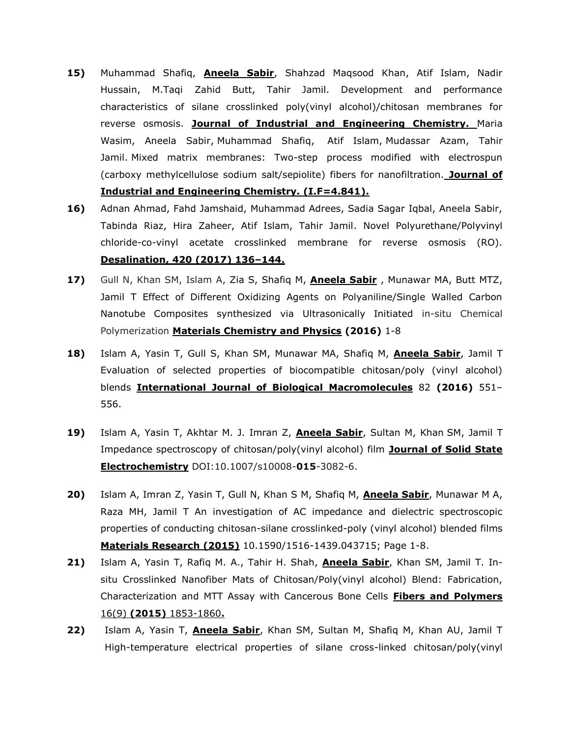- **15)** Muhammad Shafiq, **Aneela Sabir**, Shahzad Maqsood Khan, Atif Islam, Nadir Hussain, M.Taqi Zahid Butt, Tahir Jamil. Development and performance characteristics of silane crosslinked poly(vinyl alcohol)/chitosan membranes for reverse osmosis. **Journal of Industrial and Engineering Chemistry.** [Maria](http://www.sciencedirect.com/science/article/pii/S1226086X17300734)  [Wasim,](http://www.sciencedirect.com/science/article/pii/S1226086X17300734) [Aneela Sabir,](http://www.sciencedirect.com/science/article/pii/S1226086X17300734) [Muhammad Shafiq,](http://www.sciencedirect.com/science/article/pii/S1226086X17300734) [Atif Islam,](http://www.sciencedirect.com/science/article/pii/S1226086X17300734) [Mudassar Azam,](http://www.sciencedirect.com/science/article/pii/S1226086X17300734) [Tahir](http://www.sciencedirect.com/science/article/pii/S1226086X17300734)  [Jamil.](http://www.sciencedirect.com/science/article/pii/S1226086X17300734) Mixed matrix membranes: Two-step process modified with electrospun (carboxy methylcellulose sodium salt/sepiolite) fibers for nanofiltration. **Journal of Industrial and Engineering Chemistry. (I.F=4.841).**
- **16)** Adnan Ahmad, Fahd Jamshaid, Muhammad Adrees, Sadia Sagar Iqbal, Aneela Sabir, Tabinda Riaz, Hira Zaheer, Atif Islam, Tahir Jamil. Novel Polyurethane/Polyvinyl chloride-co-vinyl acetate crosslinked membrane for reverse osmosis (RO). **Desalination, 420 (2017) 136–144.**
- **17)** Gull N, Khan SM, Islam A, Zia S, Shafiq M, **Aneela Sabir** , Munawar MA, Butt MTZ, Jamil T Effect of Different Oxidizing Agents on Polyaniline/Single Walled Carbon Nanotube Composites synthesized via Ultrasonically Initiated in-situ Chemical Polymerization **Materials Chemistry and Physics (2016)** 1-8
- **18)** Islam A, Yasin T, Gull S, Khan SM, Munawar MA, Shafiq M, **Aneela Sabir**, Jamil T Evaluation of selected properties of biocompatible chitosan/poly (vinyl alcohol) blends **International Journal of Biological Macromolecules** 82 **(2016)** 551– 556.
- **19)** Islam A, Yasin T, Akhtar M. J. Imran Z, **Aneela Sabir**, Sultan M, Khan SM, Jamil T Impedance spectroscopy of chitosan/poly(vinyl alcohol) film **Journal of Solid State Electrochemistry** DOI:10.1007/s10008-**015**-3082-6.
- **20)** Islam A, Imran Z, Yasin T, Gull N, Khan S M, Shafiq M, **Aneela Sabir**, Munawar M A, Raza MH, Jamil T An investigation of AC impedance and dielectric spectroscopic properties of conducting chitosan-silane crosslinked-poly (vinyl alcohol) blended films **Materials Research (2015)** 10.1590/1516-1439.043715; Page 1-8.
- **21)** Islam A, Yasin T, Rafiq M. A., Tahir H. Shah, **Aneela Sabir**, Khan SM, Jamil T. Insitu Crosslinked Nanofiber Mats of Chitosan/Poly(vinyl alcohol) Blend: Fabrication, Characterization and MTT Assay with Cancerous Bone Cells **Fibers and Polymers**  16(9) **(2015)** 1853-1860**.**
- **22)** Islam A, Yasin T, **Aneela Sabir**, Khan SM, Sultan M, Shafiq M, Khan AU, Jamil T High-temperature electrical properties of silane cross-linked chitosan/poly(vinyl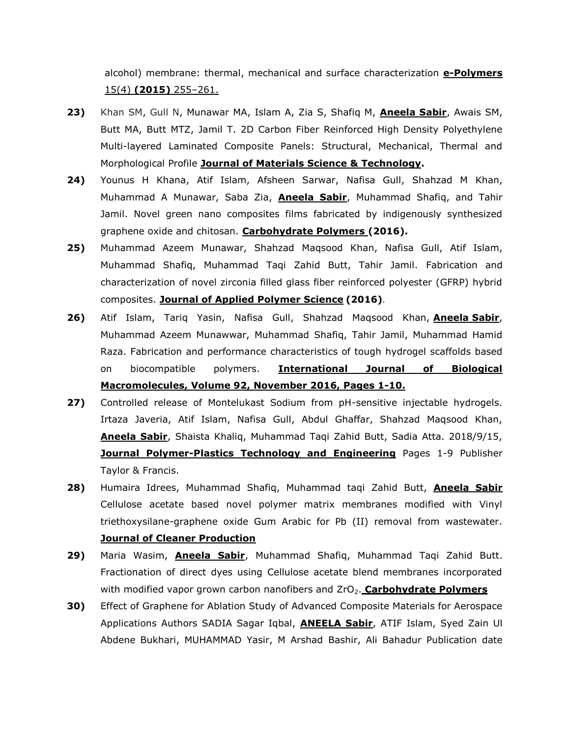alcohol) membrane: thermal, mechanical and surface characterization **e-Polymers** 15(4) **(2015)** 255–261.

- **23)** Khan SM, Gull N, Munawar MA, Islam A, Zia S, Shafiq M, **Aneela Sabir**, Awais SM, Butt MA, Butt MTZ, Jamil T. 2D Carbon Fiber Reinforced High Density Polyethylene Multi-layered Laminated Composite Panels: Structural, Mechanical, Thermal and Morphological Profile **Journal of Materials Science & Technology.**
- **24)** Younus H Khana, Atif Islam, Afsheen Sarwar, Nafisa Gull, Shahzad M Khan, Muhammad A Munawar, Saba Zia, **Aneela Sabir**, Muhammad Shafiq, and Tahir Jamil. Novel green nano composites films fabricated by indigenously synthesized graphene oxide and chitosan. **Carbohydrate Polymers (2016).**
- **25)** Muhammad Azeem Munawar, Shahzad Maqsood Khan, Nafisa Gull, Atif Islam, Muhammad Shafiq, Muhammad Taqi Zahid Butt, Tahir Jamil. Fabrication and characterization of novel zirconia filled glass fiber reinforced polyester (GFRP) hybrid composites. **Journal of Applied Polymer Science (2016)**.
- **26)** Atif Islam, Tariq Yasin, Nafisa Gull, Shahzad Maqsood Khan, **Aneela Sabir**, Muhammad Azeem Munawwar, Muhammad Shafiq, Tahir Jamil, Muhammad Hamid Raza. [Fabrication and performance characteristics of tough hydrogel scaffolds based](http://www.sciencedirect.com/science/article/pii/S0141813016307218)  [on biocompatible polymers.](http://www.sciencedirect.com/science/article/pii/S0141813016307218) **International Journal of Biological Macromolecules, Volume 92, November 2016, Pages 1-10.**
- **27)** Controlled release of Montelukast Sodium from pH-sensitive injectable hydrogels. Irtaza Javeria, Atif Islam, Nafisa Gull, Abdul Ghaffar, Shahzad Maqsood Khan, **Aneela Sabir**, Shaista Khaliq, Muhammad Taqi Zahid Butt, Sadia Atta. 2018/9/15, **Journal Polymer-Plastics Technology and Engineering** Pages 1-9 Publisher Taylor & Francis.
- **28)** Humaira Idrees, Muhammad Shafiq, Muhammad taqi Zahid Butt, **Aneela Sabir** Cellulose acetate based novel polymer matrix membranes modified with Vinyl triethoxysilane-graphene oxide Gum Arabic for Pb (II) removal from wastewater. **Journal of Cleaner Production**
- **29)** Maria Wasim, **Aneela Sabir**, Muhammad Shafiq, Muhammad Taqi Zahid Butt. Fractionation of direct dyes using Cellulose acetate blend membranes incorporated with modified vapor grown carbon nanofibers and ZrO<sub>2</sub>. **Carbohydrate Polymers**
- **30)** [Effect of Graphene for Ablation Study of Advanced Composite Materials for Aerospace](https://www.scientific.net/KEM.778.118)  [Applications](https://www.scientific.net/KEM.778.118) Authors SADIA Sagar Iqbal, **ANEELA Sabir**, ATIF Islam, Syed Zain Ul Abdene Bukhari, MUHAMMAD Yasir, M Arshad Bashir, Ali Bahadur Publication date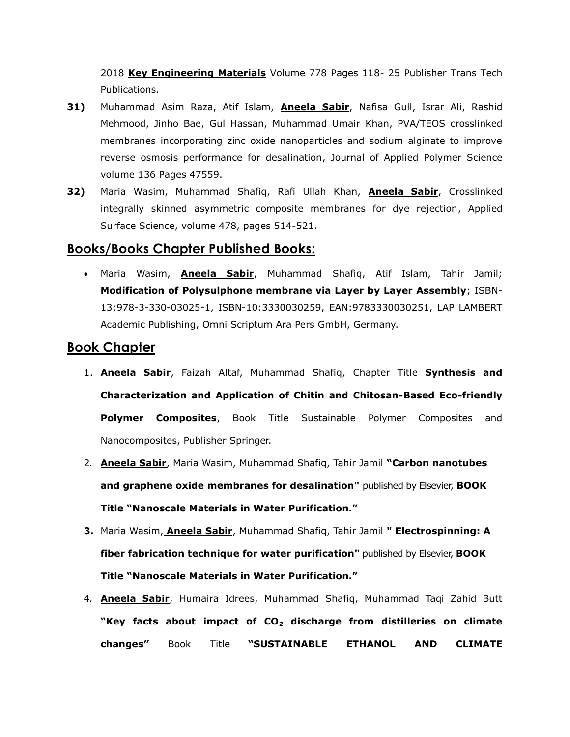2018 **Key Engineering Materials** Volume 778 Pages 118- 25 Publisher Trans Tech Publications.

- **31)** Muhammad Asim Raza, Atif Islam, **Aneela Sabir**, Nafisa Gull, Israr Ali, Rashid Mehmood, Jinho Bae, Gul Hassan, Muhammad Umair Khan, [PVA/TEOS crosslinked](https://onlinelibrary.wiley.com/doi/abs/10.1002/app.47559)  [membranes incorporating zinc oxide nanoparticles and sodium alginate to improve](https://onlinelibrary.wiley.com/doi/abs/10.1002/app.47559)  [reverse osmosis performance for desalination,](https://onlinelibrary.wiley.com/doi/abs/10.1002/app.47559) Journal of Applied Polymer Science volume 136 Pages 47559.
- **32)** Maria Wasim, Muhammad Shafiq, Rafi Ullah Khan, **Aneela Sabir**, [Crosslinked](https://www.sciencedirect.com/science/article/pii/S0169433219303186)  [integrally skinned asymmetric composite membranes for dye rejection,](https://www.sciencedirect.com/science/article/pii/S0169433219303186) Applied Surface Science, volume 478, pages 514-521.

## **Books/Books Chapter Published Books:**

 Maria Wasim, **Aneela Sabir**, Muhammad Shafiq, Atif Islam, Tahir Jamil; **Modification of Polysulphone membrane via Layer by Layer Assembly**; ISBN-13:978-3-330-03025-1, ISBN-10:3330030259, EAN:9783330030251, LAP LAMBERT Academic Publishing, Omni Scriptum Ara Pers GmbH, Germany.

## **Book Chapter**

- 1. **Aneela Sabir**, Faizah Altaf, Muhammad Shafiq, Chapter Title **[Synthesis and](https://link.springer.com/chapter/10.1007/978-3-030-05399-4_46)  [Characterization and Application of Chitin and Chitosan-Based Eco-friendly](https://link.springer.com/chapter/10.1007/978-3-030-05399-4_46)  [Polymer Composites](https://link.springer.com/chapter/10.1007/978-3-030-05399-4_46)**, Book Title Sustainable Polymer Composites and Nanocomposites, Publisher Springer.
- 2. **Aneela Sabir**, Maria Wasim, Muhammad Shafiq, Tahir Jamil **"Carbon nanotubes and graphene oxide membranes for desalination"** published by Elsevier, **BOOK Title "Nanoscale Materials in Water Purification."**
- **3.** Maria Wasim, **Aneela Sabir**, Muhammad Shafiq, Tahir Jamil **" Electrospinning: A fiber fabrication technique for water purification"** published by Elsevier, **BOOK Title "Nanoscale Materials in Water Purification."**
- 4. **Aneela Sabir**, Humaira Idrees, Muhammad Shafiq, Muhammad Taqi Zahid Butt **"Key facts about impact of CO<sup>2</sup> discharge from distilleries on climate changes"** Book Title **"SUSTAINABLE ETHANOL AND CLIMATE**